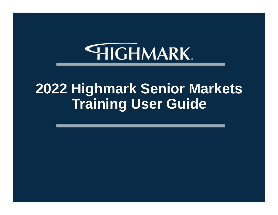# **HIGHMARK**

# **2022 Highmark Senior Markets Training User Guide**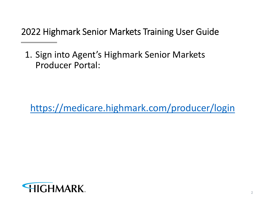1. Sign into Agent's Highmark Senior Markets Producer Portal:

https://medicare.highmark.com/producer/login

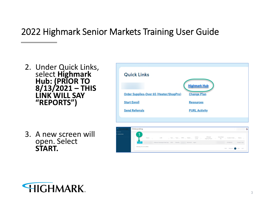- 2. Under Quick Links, select **Highmark Hub: (PRIOR TO 8/13/2021 – THIS LINK WILL SAY "REPORTS")**
- 3. A new screen will open. Select **START.**





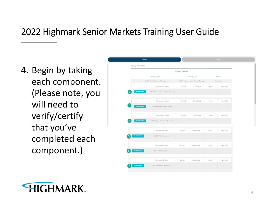4. Begin by taking each component. (Please note, you will need to verify/certify that you've completed each component.)

| <b>TRAINING</b>                 |                                           | <b>SUEMIT</b>                         |                      |            |               |  |
|---------------------------------|-------------------------------------------|---------------------------------------|----------------------|------------|---------------|--|
| <b>Training Information</b>     |                                           |                                       |                      |            |               |  |
|                                 |                                           | <b>Available Trainings</b>            |                      |            |               |  |
|                                 | <b>Training Name</b>                      |                                       | <b>Training Type</b> |            | <b>Status</b> |  |
| 2022 Highmark Medicare Training |                                           | 2022 Highmark Agent Medicare Training |                      | Incomplete |               |  |
|                                 | Component Name                            | Started                               | Completed            | Score      | Pass / Fail   |  |
| $\overline{2}$<br>TAKE TRAINING | 2022 Highmark Producer Integrity Training |                                       |                      |            |               |  |
|                                 | Component Name                            | Started                               | Completed            | Score      | Pass / Fail   |  |
| 3<br>TAKE TRAINING              | 2022 Third Party Code of Conduct          |                                       |                      |            |               |  |
|                                 | Component Name                            | Started                               | Completed            | Score      | Pass / Fail   |  |
| TAKE TRAINING                   | 2022 Highmark Plan Specific Training      |                                       |                      |            |               |  |
|                                 |                                           |                                       |                      |            |               |  |
|                                 | Component Name                            | Started                               | Completed            | Score      | Pass / Fail   |  |
| 5<br>TAKE TRAINING              | 2022 NAHU Instructions                    |                                       |                      |            |               |  |
|                                 |                                           |                                       |                      |            |               |  |
|                                 | Component Name                            | Started                               | Completed            | Score      | Pass / Fail   |  |
| 6<br>TAKE TRAINING              | 2022 AHIP Instructions                    |                                       |                      |            |               |  |
|                                 | Component Name                            | Started                               | Completed            | Score      | Pass / Fail   |  |
| <b>TAKE TRAINING</b>            | 2022 AHIRNAHU Attestation                 |                                       |                      |            |               |  |
|                                 |                                           |                                       |                      |            |               |  |

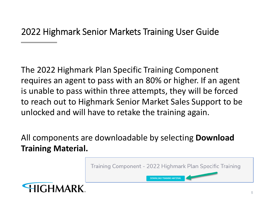The 2022 Highmark Plan Specific Training Component requires an agent to pass with an 80% or higher. If an agent is unable to pass within three attempts, they will be forced to reach out to Highmark Senior Market Sales Support to be unlocked and will have to retake the training again.

All components are downloadable by selecting **Download Training Material.**

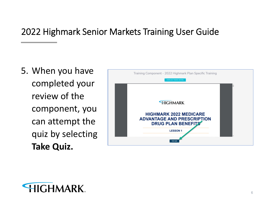5. When you have completed your review of the component, you can attempt the quiz by selecting **Take Quiz.**



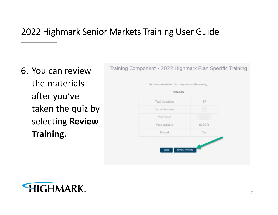6. You can review the materials after you've taken the quiz by selecting **Review Training.**



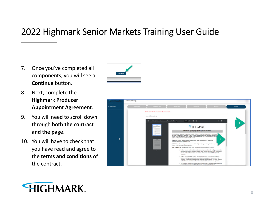7. Once you've completed all components, you will see a **Continue** button.



- 8. Next, complete the **Highmark Producer Appointment Agreement**.
- 9. You will need to scroll down through **both the contract and the page**.
- 10. You will have to check that you have read and agree to the **terms and conditions** of the contract.



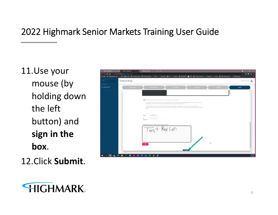11.Use your mouse (by holding down the left button) and **sign in the box**.

12.Click **Submit**.



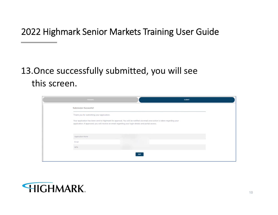#### 13.Once successfully submitted, you will see this screen.

| <b>TRAINING</b>                                                                                                                                                                                                                    |             | SUBMIT |
|------------------------------------------------------------------------------------------------------------------------------------------------------------------------------------------------------------------------------------|-------------|--------|
| Submission Successfull                                                                                                                                                                                                             |             |        |
| Thank you for submitting your application.                                                                                                                                                                                         |             |        |
| Your application has been sent to Highmark for approval. You will be notified via email once action is taken regarding your<br>application. If approved, you will receive an email regarding your login details and portal access. |             |        |
| Application Name                                                                                                                                                                                                                   |             |        |
| Email                                                                                                                                                                                                                              |             |        |
| <b>NPN</b>                                                                                                                                                                                                                         |             |        |
|                                                                                                                                                                                                                                    | <b>EXIT</b> |        |